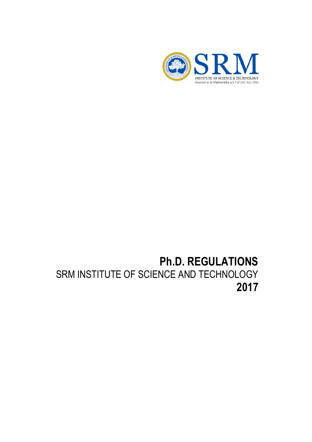

# **Ph.D. REGULATIONS** SRM INSTITUTE OF SCIENCE AND TECHNOLOGY **2017**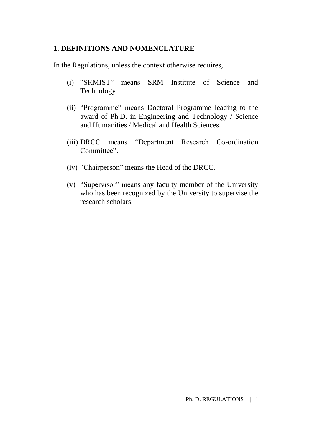## **1. DEFINITIONS AND NOMENCLATURE**

In the Regulations, unless the context otherwise requires,

- (i) "SRMIST" means SRM Institute of Science and Technology
- (ii) "Programme" means Doctoral Programme leading to the award of Ph.D. in Engineering and Technology / Science and Humanities / Medical and Health Sciences.
- (iii) DRCC means "Department Research Co-ordination Committee".
- (iv) "Chairperson" means the Head of the DRCC.
- (v) "Supervisor" means any faculty member of the University who has been recognized by the University to supervise the research scholars.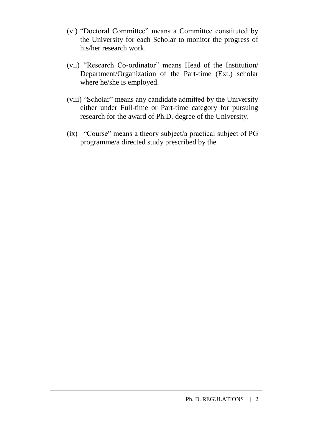- (vi) "Doctoral Committee" means a Committee constituted by the University for each Scholar to monitor the progress of his/her research work.
- (vii) "Research Co-ordinator" means Head of the Institution/ Department/Organization of the Part-time (Ext.) scholar where he/she is employed.
- (viii) "Scholar" means any candidate admitted by the University either under Full-time or Part-time category for pursuing research for the award of Ph.D. degree of the University.
- (ix) "Course" means a theory subject/a practical subject of PG programme/a directed study prescribed by the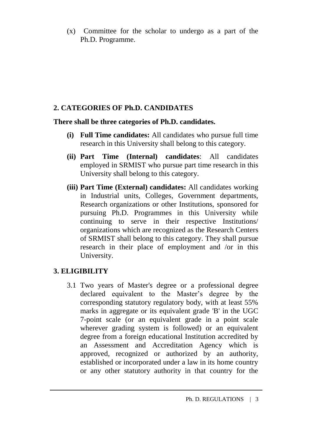(x) Committee for the scholar to undergo as a part of the Ph.D. Programme.

# **2. CATEGORIES OF Ph.D. CANDIDATES**

#### **There shall be three categories of Ph.D. candidates.**

- **(i) Full Time candidates:** All candidates who pursue full time research in this University shall belong to this category.
- **(ii) Part Time (Internal) candidates**: All candidates employed in SRMIST who pursue part time research in this University shall belong to this category.
- **(iii) Part Time (External) candidates:** All candidates working in Industrial units, Colleges, Government departments, Research organizations or other Institutions, sponsored for pursuing Ph.D. Programmes in this University while continuing to serve in their respective Institutions/ organizations which are recognized as the Research Centers of SRMIST shall belong to this category. They shall pursue research in their place of employment and /or in this University.

# **3. ELIGIBILITY**

3.1 Two years of Master's degree or a professional degree declared equivalent to the Master's degree by the corresponding statutory regulatory body, with at least 55% marks in aggregate or its equivalent grade 'B' in the UGC 7-point scale (or an equivalent grade in a point scale wherever grading system is followed) or an equivalent degree from a foreign educational Institution accredited by an Assessment and Accreditation Agency which is approved, recognized or authorized by an authority, established or incorporated under a law in its home country or any other statutory authority in that country for the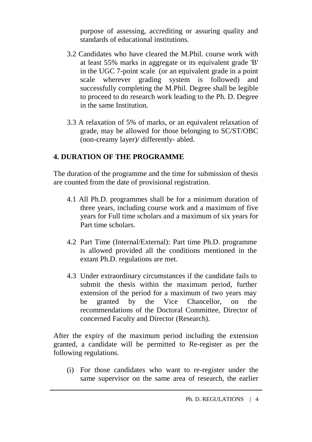purpose of assessing, accrediting or assuring quality and standards of educational institutions.

- 3.2 Candidates who have cleared the M.Phil. course work with at least 55% marks in aggregate or its equivalent grade 'B' in the UGC 7-point scale (or an equivalent grade in a point scale wherever grading system is followed) and successfully completing the M.Phil. Degree shall be legible to proceed to do research work leading to the Ph. D. Degree in the same Institution.
- 3.3 A relaxation of 5% of marks, or an equivalent relaxation of grade, may be allowed for those belonging to SC/ST/OBC (non-creamy layer)/ differently- abled.

# **4. DURATION OF THE PROGRAMME**

The duration of the programme and the time for submission of thesis are counted from the date of provisional registration.

- 4.1 All Ph.D. programmes shall be for a minimum duration of three years, including course work and a maximum of five years for Full time scholars and a maximum of six years for Part time scholars.
- 4.2 Part Time (Internal/External): Part time Ph.D. programme is allowed provided all the conditions mentioned in the extant Ph.D. regulations are met.
- 4.3 Under extraordinary circumstances if the candidate fails to submit the thesis within the maximum period, further extension of the period for a maximum of two years may be granted by the Vice Chancellor, on the recommendations of the Doctoral Committee, Director of concerned Faculty and Director (Research).

After the expiry of the maximum period including the extension granted, a candidate will be permitted to Re-register as per the following regulations.

(i) For those candidates who want to re-register under the same supervisor on the same area of research, the earlier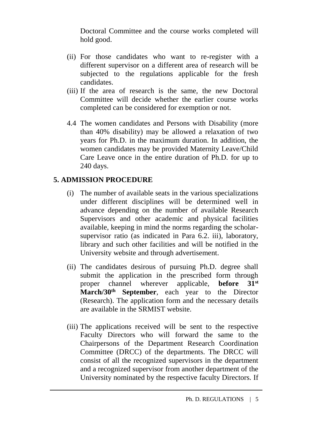Doctoral Committee and the course works completed will hold good.

- (ii) For those candidates who want to re-register with a different supervisor on a different area of research will be subjected to the regulations applicable for the fresh candidates.
- (iii) If the area of research is the same, the new Doctoral Committee will decide whether the earlier course works completed can be considered for exemption or not.
- 4.4 The women candidates and Persons with Disability (more than 40% disability) may be allowed a relaxation of two years for Ph.D. in the maximum duration. In addition, the women candidates may be provided Maternity Leave/Child Care Leave once in the entire duration of Ph.D. for up to 240 days.

# **5. ADMISSION PROCEDURE**

- (i) The number of available seats in the various specializations under different disciplines will be determined well in advance depending on the number of available Research Supervisors and other academic and physical facilities available, keeping in mind the norms regarding the scholarsupervisor ratio (as indicated in Para 6.2. iii), laboratory, library and such other facilities and will be notified in the University website and through advertisement.
- (ii) The candidates desirous of pursuing Ph.D. degree shall submit the application in the prescribed form through proper channel wherever applicable, **before 31st March/30th September**, each year to the Director (Research). The application form and the necessary details are available in the SRMIST website.
- (iii) The applications received will be sent to the respective Faculty Directors who will forward the same to the Chairpersons of the Department Research Coordination Committee (DRCC) of the departments. The DRCC will consist of all the recognized supervisors in the department and a recognized supervisor from another department of the University nominated by the respective faculty Directors. If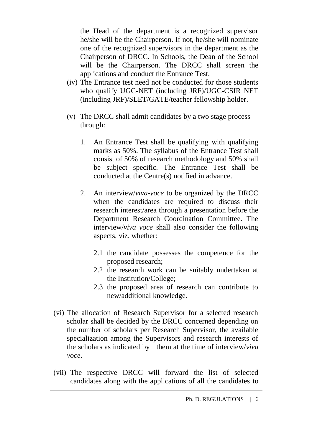the Head of the department is a recognized supervisor he/she will be the Chairperson. If not, he/she will nominate one of the recognized supervisors in the department as the Chairperson of DRCC. In Schools, the Dean of the School will be the Chairperson. The DRCC shall screen the applications and conduct the Entrance Test.

- (iv) The Entrance test need not be conducted for those students who qualify UGC-NET (including JRF)/UGC-CSIR NET (including JRF)/SLET/GATE/teacher fellowship holder.
- (v) The DRCC shall admit candidates by a two stage process through:
	- 1. An Entrance Test shall be qualifying with qualifying marks as 50%. The syllabus of the Entrance Test shall consist of 50% of research methodology and 50% shall be subject specific. The Entrance Test shall be conducted at the Centre(s) notified in advance.
	- 2. An interview/*viva-voce* to be organized by the DRCC when the candidates are required to discuss their research interest/area through a presentation before the Department Research Coordination Committee. The interview/*viva voce* shall also consider the following aspects, viz. whether:
		- 2.1 the candidate possesses the competence for the proposed research;
		- 2.2 the research work can be suitably undertaken at the Institution/College;
		- 2.3 the proposed area of research can contribute to new/additional knowledge.
- (vi) The allocation of Research Supervisor for a selected research scholar shall be decided by the DRCC concerned depending on the number of scholars per Research Supervisor, the available specialization among the Supervisors and research interests of the scholars as indicated by them at the time of interview/*viva voce*.
- (vii) The respective DRCC will forward the list of selected candidates along with the applications of all the candidates to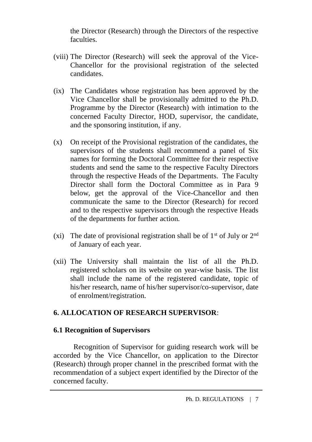the Director (Research) through the Directors of the respective faculties.

- (viii) The Director (Research) will seek the approval of the Vice-Chancellor for the provisional registration of the selected candidates.
- (ix) The Candidates whose registration has been approved by the Vice Chancellor shall be provisionally admitted to the Ph.D. Programme by the Director (Research) with intimation to the concerned Faculty Director, HOD, supervisor, the candidate, and the sponsoring institution, if any.
- (x) On receipt of the Provisional registration of the candidates, the supervisors of the students shall recommend a panel of Six names for forming the Doctoral Committee for their respective students and send the same to the respective Faculty Directors through the respective Heads of the Departments. The Faculty Director shall form the Doctoral Committee as in Para 9 below, get the approval of the Vice-Chancellor and then communicate the same to the Director (Research) for record and to the respective supervisors through the respective Heads of the departments for further action.
- (xi) The date of provisional registration shall be of  $1<sup>st</sup>$  of July or  $2<sup>nd</sup>$ of January of each year.
- (xii) The University shall maintain the list of all the Ph.D. registered scholars on its website on year-wise basis. The list shall include the name of the registered candidate, topic of his/her research, name of his/her supervisor/co-supervisor, date of enrolment/registration.

# **6. ALLOCATION OF RESEARCH SUPERVISOR**:

# **6.1 Recognition of Supervisors**

Recognition of Supervisor for guiding research work will be accorded by the Vice Chancellor, on application to the Director (Research) through proper channel in the prescribed format with the recommendation of a subject expert identified by the Director of the concerned faculty.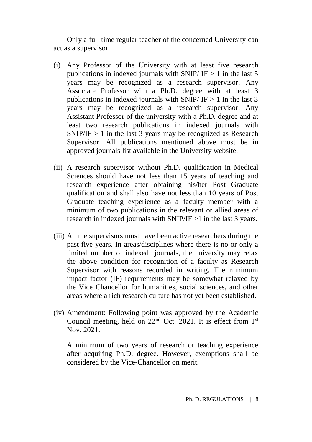Only a full time regular teacher of the concerned University can act as a supervisor.

- (i) Any Professor of the University with at least five research publications in indexed journals with SNIP/  $IF > 1$  in the last 5 years may be recognized as a research supervisor. Any Associate Professor with a Ph.D. degree with at least 3 publications in indexed journals with SNIP/  $IF > 1$  in the last 3 years may be recognized as a research supervisor. Any Assistant Professor of the university with a Ph.D. degree and at least two research publications in indexed journals with  $SNIP/IF > 1$  in the last 3 years may be recognized as Research Supervisor. All publications mentioned above must be in approved journals list available in the University website.
- (ii) A research supervisor without Ph.D. qualification in Medical Sciences should have not less than 15 years of teaching and research experience after obtaining his/her Post Graduate qualification and shall also have not less than 10 years of Post Graduate teaching experience as a faculty member with a minimum of two publications in the relevant or allied areas of research in indexed journals with SNIP/IF >1 in the last 3 years.
- (iii) All the supervisors must have been active researchers during the past five years. In areas/disciplines where there is no or only a limited number of indexed journals, the university may relax the above condition for recognition of a faculty as Research Supervisor with reasons recorded in writing. The minimum impact factor (IF) requirements may be somewhat relaxed by the Vice Chancellor for humanities, social sciences, and other areas where a rich research culture has not yet been established.
- (iv) Amendment: Following point was approved by the Academic Council meeting, held on  $22<sup>nd</sup>$  Oct. 2021. It is effect from  $1<sup>st</sup>$ Nov. 2021.

A minimum of two years of research or teaching experience after acquiring Ph.D. degree. However, exemptions shall be considered by the Vice-Chancellor on merit.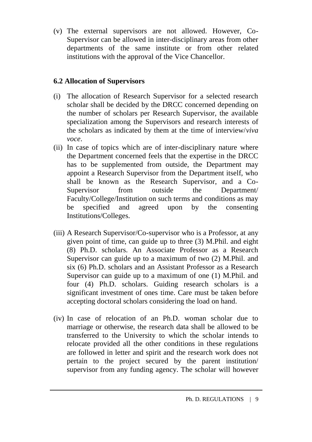(v) The external supervisors are not allowed. However, Co-Supervisor can be allowed in inter-disciplinary areas from other departments of the same institute or from other related institutions with the approval of the Vice Chancellor.

# **6.2 Allocation of Supervisors**

- (i) The allocation of Research Supervisor for a selected research scholar shall be decided by the DRCC concerned depending on the number of scholars per Research Supervisor, the available specialization among the Supervisors and research interests of the scholars as indicated by them at the time of interview/*viva voce*.
- (ii) In case of topics which are of inter-disciplinary nature where the Department concerned feels that the expertise in the DRCC has to be supplemented from outside, the Department may appoint a Research Supervisor from the Department itself, who shall be known as the Research Supervisor, and a Co-Supervisor from outside the Department/ Faculty/College/Institution on such terms and conditions as may be specified and agreed upon by the consenting Institutions/Colleges.
- (iii) A Research Supervisor/Co-supervisor who is a Professor, at any given point of time, can guide up to three (3) M.Phil. and eight (8) Ph.D. scholars. An Associate Professor as a Research Supervisor can guide up to a maximum of two (2) M.Phil. and six (6) Ph.D. scholars and an Assistant Professor as a Research Supervisor can guide up to a maximum of one (1) M.Phil. and four (4) Ph.D. scholars. Guiding research scholars is a significant investment of ones time. Care must be taken before accepting doctoral scholars considering the load on hand.
- (iv) In case of relocation of an Ph.D. woman scholar due to marriage or otherwise, the research data shall be allowed to be transferred to the University to which the scholar intends to relocate provided all the other conditions in these regulations are followed in letter and spirit and the research work does not pertain to the project secured by the parent institution/ supervisor from any funding agency. The scholar will however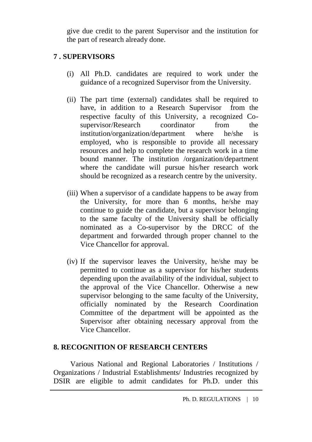give due credit to the parent Supervisor and the institution for the part of research already done.

# **7 . SUPERVISORS**

- (i) All Ph.D. candidates are required to work under the guidance of a recognized Supervisor from the University.
- (ii) The part time (external) candidates shall be required to have, in addition to a Research Supervisor from the respective faculty of this University, a recognized Cosupervisor/Research coordinator from the institution/organization/department where he/she is employed, who is responsible to provide all necessary resources and help to complete the research work in a time bound manner. The institution /organization/department where the candidate will pursue his/her research work should be recognized as a research centre by the university.
- (iii) When a supervisor of a candidate happens to be away from the University, for more than 6 months, he/she may continue to guide the candidate, but a supervisor belonging to the same faculty of the University shall be officially nominated as a Co-supervisor by the DRCC of the department and forwarded through proper channel to the Vice Chancellor for approval.
- (iv) If the supervisor leaves the University, he/she may be permitted to continue as a supervisor for his/her students depending upon the availability of the individual, subject to the approval of the Vice Chancellor. Otherwise a new supervisor belonging to the same faculty of the University, officially nominated by the Research Coordination Committee of the department will be appointed as the Supervisor after obtaining necessary approval from the Vice Chancellor.

# **8. RECOGNITION OF RESEARCH CENTERS**

Various National and Regional Laboratories / Institutions / Organizations / Industrial Establishments/ Industries recognized by DSIR are eligible to admit candidates for Ph.D. under this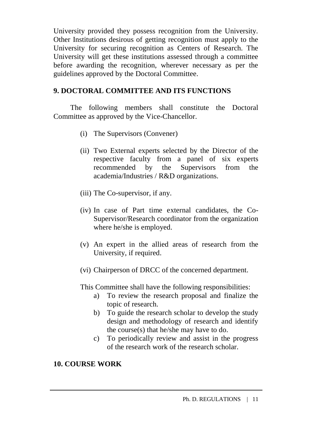University provided they possess recognition from the University. Other Institutions desirous of getting recognition must apply to the University for securing recognition as Centers of Research. The University will get these institutions assessed through a committee before awarding the recognition, wherever necessary as per the guidelines approved by the Doctoral Committee.

# **9. DOCTORAL COMMITTEE AND ITS FUNCTIONS**

The following members shall constitute the Doctoral Committee as approved by the Vice-Chancellor.

- (i) The Supervisors (Convener)
- (ii) Two External experts selected by the Director of the respective faculty from a panel of six experts recommended by the Supervisors from the academia/Industries / R&D organizations.
- (iii) The Co-supervisor, if any.
- (iv) In case of Part time external candidates, the Co-Supervisor/Research coordinator from the organization where he/she is employed.
- (v) An expert in the allied areas of research from the University, if required.
- (vi) Chairperson of DRCC of the concerned department.

This Committee shall have the following responsibilities:

- a) To review the research proposal and finalize the topic of research.
- b) To guide the research scholar to develop the study design and methodology of research and identify the course(s) that he/she may have to do.
- c) To periodically review and assist in the progress of the research work of the research scholar.

# **10. COURSE WORK**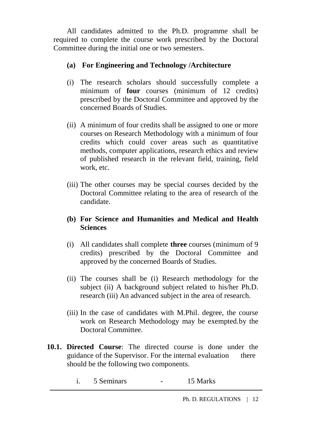All candidates admitted to the Ph.D. programme shall be required to complete the course work prescribed by the Doctoral Committee during the initial one or two semesters.

# **(a) For Engineering and Technology /Architecture**

- (i) The research scholars should successfully complete a minimum of **four** courses (minimum of 12 credits) prescribed by the Doctoral Committee and approved by the concerned Boards of Studies.
- (ii) A minimum of four credits shall be assigned to one or more courses on Research Methodology with a minimum of four credits which could cover areas such as quantitative methods, computer applications, research ethics and review of published research in the relevant field, training, field work, etc.
- (iii) The other courses may be special courses decided by the Doctoral Committee relating to the area of research of the candidate.

#### **(b) For Science and Humanities and Medical and Health Sciences**

- (i) All candidates shall complete **three** courses (minimum of 9 credits) prescribed by the Doctoral Committee and approved by the concerned Boards of Studies.
- (ii) The courses shall be (i) Research methodology for the subject (ii) A background subject related to his/her Ph.D. research (iii) An advanced subject in the area of research.
- (iii) In the case of candidates with M.Phil. degree, the course work on Research Methodology may be exempted.by the Doctoral Committee.
- **10.1. Directed Course**: The directed course is done under the guidance of the Supervisor. For the internal evaluation there should be the following two components.
	- i. 5 Seminars 15 Marks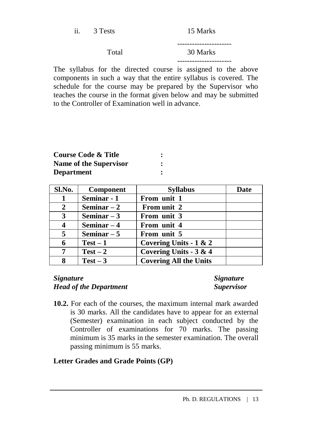| ii. | 3 Tests | 15 Marks |
|-----|---------|----------|
|     | Total   | 30 Marks |
|     |         |          |

The syllabus for the directed course is assigned to the above components in such a way that the entire syllabus is covered. The schedule for the course may be prepared by the Supervisor who teaches the course in the format given below and may be submitted to the Controller of Examination well in advance.

| Course Code & Title    |  |
|------------------------|--|
| Name of the Supervisor |  |
| <b>Department</b>      |  |

| Sl.No. | <b>Component</b> | <b>Syllabus</b>               | <b>Date</b> |
|--------|------------------|-------------------------------|-------------|
|        | Seminar - 1      | From unit 1                   |             |
| 2      | Seminar $-2$     | From unit 2                   |             |
| 3      | Seminar $-3$     | From unit 3                   |             |
|        | Seminar $-4$     | From unit 4                   |             |
| 5      | Seminar $-5$     | From unit 5                   |             |
|        | $Test - 1$       | Covering Units - $1 & 2$      |             |
| 7      | $Test-2$         | Covering Units - 3 & 4        |             |
| 8      | $Test - 3$       | <b>Covering All the Units</b> |             |

#### *Signature Signature Head of the Department Supervisor*

**10.2.** For each of the courses, the maximum internal mark awarded is 30 marks. All the candidates have to appear for an external (Semester) examination in each subject conducted by the Controller of examinations for 70 marks. The passing minimum is 35 marks in the semester examination. The overall passing minimum is 55 marks.

# **Letter Grades and Grade Points (GP)**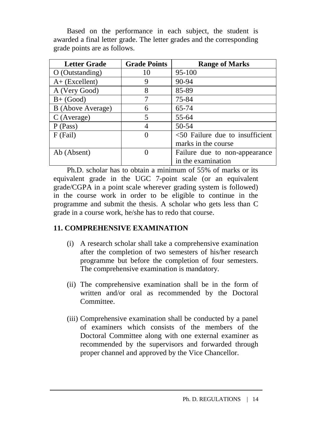Based on the performance in each subject, the student is awarded a final letter grade. The letter grades and the corresponding grade points are as follows.

| <b>Letter Grade</b>      | <b>Grade Points</b> | <b>Range of Marks</b>              |
|--------------------------|---------------------|------------------------------------|
| $O$ (Outstanding)        | 10                  | 95-100                             |
| $A+$ (Excellent)         | 9                   | 90-94                              |
| A (Very Good)            | 8                   | 85-89                              |
| $B+$ (Good)              |                     | 75-84                              |
| <b>B</b> (Above Average) | 6                   | 65-74                              |
| C (Average)              | 5                   | 55-64                              |
| P (Pass)                 | 4                   | 50-54                              |
| $F$ (Fail)               | 0                   | $<$ 50 Failure due to insufficient |
|                          |                     | marks in the course                |
| Ab (Absent)              | $\theta$            | Failure due to non-appearance      |
|                          |                     | in the examination                 |

Ph.D. scholar has to obtain a minimum of 55% of marks or its equivalent grade in the UGC 7-point scale (or an equivalent grade/CGPA in a point scale wherever grading system is followed) in the course work in order to be eligible to continue in the programme and submit the thesis. A scholar who gets less than C grade in a course work, he/she has to redo that course.

# **11. COMPREHENSIVE EXAMINATION**

- (i) A research scholar shall take a comprehensive examination after the completion of two semesters of his/her research programme but before the completion of four semesters. The comprehensive examination is mandatory.
- (ii) The comprehensive examination shall be in the form of written and/or oral as recommended by the Doctoral Committee.
- (iii) Comprehensive examination shall be conducted by a panel of examiners which consists of the members of the Doctoral Committee along with one external examiner as recommended by the supervisors and forwarded through proper channel and approved by the Vice Chancellor.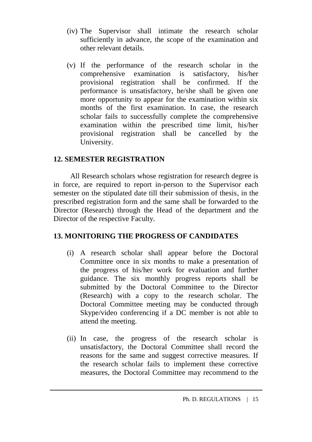- (iv) The Supervisor shall intimate the research scholar sufficiently in advance, the scope of the examination and other relevant details.
- (v) If the performance of the research scholar in the comprehensive examination is satisfactory, his/her provisional registration shall be confirmed. If the performance is unsatisfactory, he/she shall be given one more opportunity to appear for the examination within six months of the first examination. In case, the research scholar fails to successfully complete the comprehensive examination within the prescribed time limit, his/her provisional registration shall be cancelled by the University.

#### **12. SEMESTER REGISTRATION**

All Research scholars whose registration for research degree is in force, are required to report in-person to the Supervisor each semester on the stipulated date till their submission of thesis, in the prescribed registration form and the same shall be forwarded to the Director (Research) through the Head of the department and the Director of the respective Faculty.

# **13. MONITORING THE PROGRESS OF CANDIDATES**

- (i) A research scholar shall appear before the Doctoral Committee once in six months to make a presentation of the progress of his/her work for evaluation and further guidance. The six monthly progress reports shall be submitted by the Doctoral Committee to the Director (Research) with a copy to the research scholar. The Doctoral Committee meeting may be conducted through Skype/video conferencing if a DC member is not able to attend the meeting.
- (ii) In case, the progress of the research scholar is unsatisfactory, the Doctoral Committee shall record the reasons for the same and suggest corrective measures. If the research scholar fails to implement these corrective measures, the Doctoral Committee may recommend to the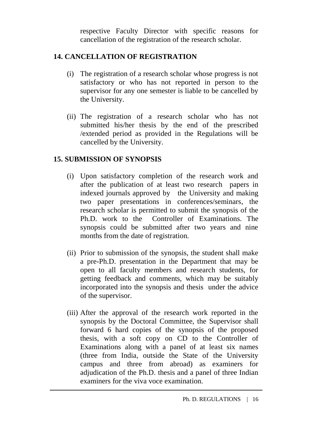respective Faculty Director with specific reasons for cancellation of the registration of the research scholar.

# **14. CANCELLATION OF REGISTRATION**

- (i) The registration of a research scholar whose progress is not satisfactory or who has not reported in person to the supervisor for any one semester is liable to be cancelled by the University.
- (ii) The registration of a research scholar who has not submitted his/her thesis by the end of the prescribed /extended period as provided in the Regulations will be cancelled by the University.

#### **15. SUBMISSION OF SYNOPSIS**

- (i) Upon satisfactory completion of the research work and after the publication of at least two research papers in indexed journals approved by the University and making two paper presentations in conferences/seminars, the research scholar is permitted to submit the synopsis of the Ph.D. work to the Controller of Examinations. The synopsis could be submitted after two years and nine months from the date of registration.
- (ii) Prior to submission of the synopsis, the student shall make a pre-Ph.D. presentation in the Department that may be open to all faculty members and research students, for getting feedback and comments, which may be suitably incorporated into the synopsis and thesis under the advice of the supervisor.
- (iii) After the approval of the research work reported in the synopsis by the Doctoral Committee, the Supervisor shall forward 6 hard copies of the synopsis of the proposed thesis, with a soft copy on CD to the Controller of Examinations along with a panel of at least six names (three from India, outside the State of the University campus and three from abroad) as examiners for adjudication of the Ph.D. thesis and a panel of three Indian examiners for the viva voce examination.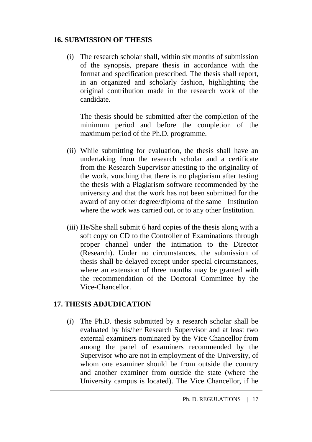### **16. SUBMISSION OF THESIS**

(i) The research scholar shall, within six months of submission of the synopsis, prepare thesis in accordance with the format and specification prescribed. The thesis shall report, in an organized and scholarly fashion, highlighting the original contribution made in the research work of the candidate.

The thesis should be submitted after the completion of the minimum period and before the completion of the maximum period of the Ph.D. programme.

- (ii) While submitting for evaluation, the thesis shall have an undertaking from the research scholar and a certificate from the Research Supervisor attesting to the originality of the work, vouching that there is no plagiarism after testing the thesis with a Plagiarism software recommended by the university and that the work has not been submitted for the award of any other degree/diploma of the same Institution where the work was carried out, or to any other Institution.
- (iii) He/She shall submit 6 hard copies of the thesis along with a soft copy on CD to the Controller of Examinations through proper channel under the intimation to the Director (Research). Under no circumstances, the submission of thesis shall be delayed except under special circumstances, where an extension of three months may be granted with the recommendation of the Doctoral Committee by the Vice-Chancellor.

# **17. THESIS ADJUDICATION**

(i) The Ph.D. thesis submitted by a research scholar shall be evaluated by his/her Research Supervisor and at least two external examiners nominated by the Vice Chancellor from among the panel of examiners recommended by the Supervisor who are not in employment of the University, of whom one examiner should be from outside the country and another examiner from outside the state (where the University campus is located). The Vice Chancellor, if he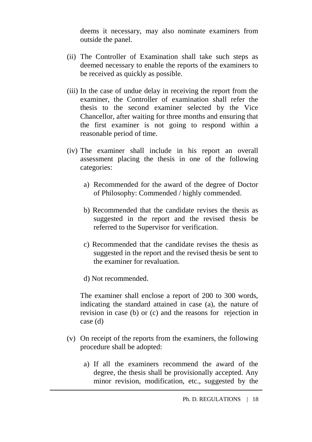deems it necessary, may also nominate examiners from outside the panel.

- (ii) The Controller of Examination shall take such steps as deemed necessary to enable the reports of the examiners to be received as quickly as possible.
- (iii) In the case of undue delay in receiving the report from the examiner, the Controller of examination shall refer the thesis to the second examiner selected by the Vice Chancellor, after waiting for three months and ensuring that the first examiner is not going to respond within a reasonable period of time.
- (iv) The examiner shall include in his report an overall assessment placing the thesis in one of the following categories:
	- a) Recommended for the award of the degree of Doctor of Philosophy: Commended / highly commended.
	- b) Recommended that the candidate revises the thesis as suggested in the report and the revised thesis be referred to the Supervisor for verification.
	- c) Recommended that the candidate revises the thesis as suggested in the report and the revised thesis be sent to the examiner for revaluation.
	- d) Not recommended.

The examiner shall enclose a report of 200 to 300 words, indicating the standard attained in case (a), the nature of revision in case (b) or (c) and the reasons for rejection in case (d)

- (v) On receipt of the reports from the examiners, the following procedure shall be adopted:
	- a) If all the examiners recommend the award of the degree, the thesis shall be provisionally accepted. Any minor revision, modification, etc., suggested by the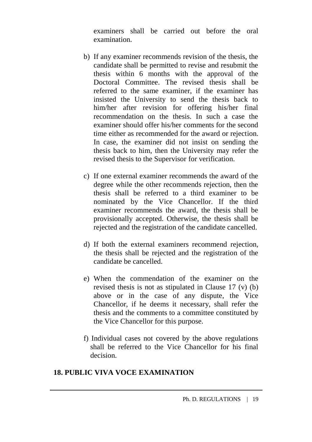examiners shall be carried out before the oral examination.

- b) If any examiner recommends revision of the thesis, the candidate shall be permitted to revise and resubmit the thesis within 6 months with the approval of the Doctoral Committee. The revised thesis shall be referred to the same examiner, if the examiner has insisted the University to send the thesis back to him/her after revision for offering his/her final recommendation on the thesis. In such a case the examiner should offer his/her comments for the second time either as recommended for the award or rejection. In case, the examiner did not insist on sending the thesis back to him, then the University may refer the revised thesis to the Supervisor for verification.
- c) If one external examiner recommends the award of the degree while the other recommends rejection, then the thesis shall be referred to a third examiner to be nominated by the Vice Chancellor. If the third examiner recommends the award, the thesis shall be provisionally accepted. Otherwise, the thesis shall be rejected and the registration of the candidate cancelled.
- d) If both the external examiners recommend rejection, the thesis shall be rejected and the registration of the candidate be cancelled.
- e) When the commendation of the examiner on the revised thesis is not as stipulated in Clause 17 (v) (b) above or in the case of any dispute, the Vice Chancellor, if he deems it necessary, shall refer the thesis and the comments to a committee constituted by the Vice Chancellor for this purpose.
- f) Individual cases not covered by the above regulations shall be referred to the Vice Chancellor for his final decision.

#### **18. PUBLIC VIVA VOCE EXAMINATION**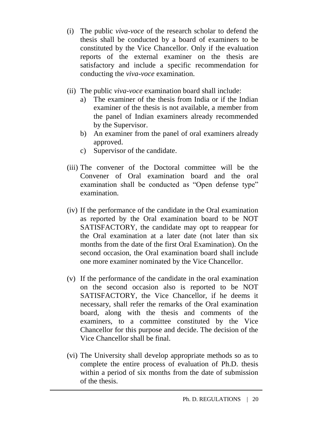- (i) The public *viva-voce* of the research scholar to defend the thesis shall be conducted by a board of examiners to be constituted by the Vice Chancellor. Only if the evaluation reports of the external examiner on the thesis are satisfactory and include a specific recommendation for conducting the *viva-voce* examination.
- (ii) The public *viva-voce* examination board shall include:
	- a) The examiner of the thesis from India or if the Indian examiner of the thesis is not available, a member from the panel of Indian examiners already recommended by the Supervisor.
	- b) An examiner from the panel of oral examiners already approved.
	- c) Supervisor of the candidate.
- (iii) The convener of the Doctoral committee will be the Convener of Oral examination board and the oral examination shall be conducted as "Open defense type" examination.
- (iv) If the performance of the candidate in the Oral examination as reported by the Oral examination board to be NOT SATISFACTORY, the candidate may opt to reappear for the Oral examination at a later date (not later than six months from the date of the first Oral Examination). On the second occasion, the Oral examination board shall include one more examiner nominated by the Vice Chancellor.
- (v) If the performance of the candidate in the oral examination on the second occasion also is reported to be NOT SATISFACTORY, the Vice Chancellor, if he deems it necessary, shall refer the remarks of the Oral examination board, along with the thesis and comments of the examiners, to a committee constituted by the Vice Chancellor for this purpose and decide. The decision of the Vice Chancellor shall be final.
- (vi) The University shall develop appropriate methods so as to complete the entire process of evaluation of Ph.D. thesis within a period of six months from the date of submission of the thesis.